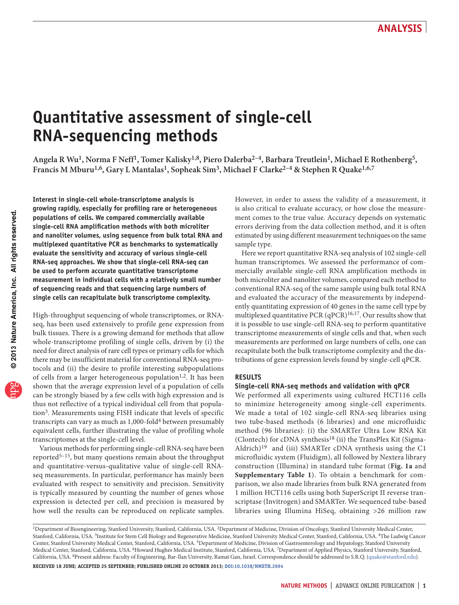# **Quantitative assessment of single-cell RNA-sequencing methods**

**Angela R Wu1, Norma F Neff1, Tomer Kalisky1,8, Piero Dalerba2–4, Barbara Treutlein1, Michael E Rothenberg5,**  Francis M Mburu<sup>1,6</sup>, Gary L Mantalas<sup>1</sup>, Sopheak Sim<sup>3</sup>, Michael F Clarke<sup>2-4</sup> & Stephen R Quake<sup>1,6,7</sup>

**Interest in single-cell whole-transcriptome analysis is growing rapidly, especially for profiling rare or heterogeneous populations of cells. We compared commercially available single-cell RNA amplification methods with both microliter and nanoliter volumes, using sequence from bulk total RNA and multiplexed quantitative PCR as benchmarks to systematically evaluate the sensitivity and accuracy of various single-cell RNA-seq approaches. We show that single-cell RNA-seq can be used to perform accurate quantitative transcriptome measurement in individual cells with a relatively small number of sequencing reads and that sequencing large numbers of single cells can recapitulate bulk transcriptome complexity.**

High-throughput sequencing of whole transcriptomes, or RNAseq, has been used extensively to profile gene expression from bulk tissues. There is a growing demand for methods that allow whole-transcriptome profiling of single cells, driven by (i) the need for direct analysis of rare cell types or primary cells for which there may be insufficient material for conventional RNA-seq protocols and (ii) the desire to profile interesting subpopulations of cells from a larger heterogeneous population<sup>[1,](#page-4-0)2</sup>. It has been shown that the average expression level of a population of cells can be strongly biased by a few cells with high expression and is thus not reflective of a typical individual cell from that population[3.](#page-4-2) Measurements using FISH indicate that levels of specific transcripts can vary as much as 1,000-fold<sup>[4](#page-4-3)</sup> between presumably equivalent cells, further illustrating the value of profiling whole transcriptomes at the single-cell level.

Various methods for performing single-cell RNA-seq have been reported<sup>5-15</sup>, but many questions remain about the throughput and quantitative-versus-qualitative value of single-cell RNAseq measurements. In particular, performance has mainly been evaluated with respect to sensitivity and precision. Sensitivity is typically measured by counting the number of genes whose expression is detected per cell, and precision is measured by how well the results can be reproduced on replicate samples. However, in order to assess the validity of a measurement, it is also critical to evaluate accuracy, or how close the measurement comes to the true value. Accuracy depends on systematic errors deriving from the data collection method, and it is often estimated by using different measurement techniques on the same sample type.

Here we report quantitative RNA-seq analysis of 102 single-cell human transcriptomes. We assessed the performance of commercially available single-cell RNA amplification methods in both microliter and nanoliter volumes, compared each method to conventional RNA-seq of the same sample using bulk total RNA and evaluated the accuracy of the measurements by independently quantitating expression of 40 genes in the same cell type by multiplexed quantitative PCR (qPCR)[16,](#page-5-1)[17](#page-5-2). Our results show that it is possible to use single-cell RNA-seq to perform quantitative transcriptome measurements of single cells and that, when such measurements are performed on large numbers of cells, one can recapitulate both the bulk transcriptome complexity and the distributions of gene expression levels found by single-cell qPCR.

### **RESULTS**

### **Single-cell RNA-seq methods and validation with qPCR**

We performed all experiments using cultured HCT116 cells to minimize heterogeneity among single-cell experiments. We made a total of 102 single-cell RNA-seq libraries using two tube-based methods (6 libraries) and one microfluidic method (96 libraries): (i) the SMARTer Ultra Low RNA Kit (Clontech) for cDNA synthesis<sup>[18](#page-5-3)</sup> (ii) the TransPlex Kit (Sigma-Aldrich)[19](#page-5-4) and (iii) SMARTer cDNA synthesis using the C1 microfluidic system (Fluidigm), all followed by Nextera library construction (Illumina) in standard tube format (**[Fig. 1a](#page-1-0)** and **Supplementary Table 1**). To obtain a benchmark for comparison, we also made libraries from bulk RNA generated from 1 million HCT116 cells using both SuperScript II reverse transcriptase (Invitrogen) and SMARTer. We sequenced tube-based libraries using Illumina HiSeq, obtaining >26 million raw

<sup>&</sup>lt;sup>1</sup>Department of Bioengineering, Stanford University, Stanford, California, USA. <sup>2</sup>Department of Medicine, Division of Oncology, Stanford University Medical Center, Stanford, California, USA. 3Institute for Stem Cell Biology and Regenerative Medicine, Stanford University Medical Center, Stanford, California, USA. 4The Ludwig Cancer Center, Stanford University Medical Center, Stanford, California, USA. 5Department of Medicine, Division of Gastroenterology and Hepatology, Stanford University Medical Center, Stanford, California, USA. <sup>6</sup>Howard Hughes Medical Institute, Stanford, California, USA. <sup>7</sup>Department of Applied Physics, Stanford University, Stanford, California, USA. 8Present address: Faculty of Engineering, Bar-Ilan University, Ramat Gan, Israel. Correspondence should be addressed to S.R.Q. (quake@stanford.edu). **Received 18 June; accepted 25 September; published online 20 october 2013; [doi:10.1038/nmeth.2694](http://www.nature.com/doifinder/10.1038/nmeth.2694)**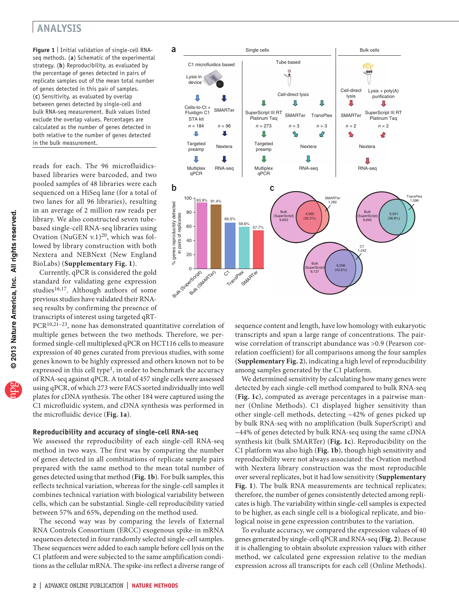<span id="page-1-1"></span><span id="page-1-0"></span>**Figure 1** | Initial validation of single-cell RNAseq methods. (**a**) Schematic of the experimental strategy. (**b**) Reproducibility, as evaluated by the percentage of genes detected in pairs of replicate samples out of the mean total number of genes detected in this pair of samples. (**c**) Sensitivity, as evaluated by overlap between genes detected by single-cell and bulk RNA-seq measurement. Bulk values listed exclude the overlap values. Percentages are calculated as the number of genes detected in both relative to the number of genes detected in the bulk measurement.

reads for each. The 96 microfluidicsbased libraries were barcoded, and two pooled samples of 48 libraries were each sequenced on a HiSeq lane (for a total of two lanes for all 96 libraries), resulting in an average of 2 million raw reads per library. We also constructed seven tubebased single-cell RNA-seq libraries using Ovation (NuGEN v.1)<sup>[20](#page-5-5)</sup>, which was followed by library construction with both Nextera and NEBNext (New England BioLabs) (**Supplementary Fig. 1**).

Currently, qPCR is considered the gold standard for validating gene expression studies<sup>[16,](#page-5-6)[17](#page-5-7)</sup>. Although authors of some previous studies have validated their RNAseq results by confirming the presence of transcripts of interest using targeted qRT-

PCR[10,](#page-4-5)[21–](#page-5-8)[23](#page-5-9), none has demonstrated quantitative correlation of multiple genes between the two methods. Therefore, we performed single-cell multiplexed qPCR on HCT116 cells to measure expression of 40 genes curated from previous studies, with some genes known to be highly expressed and others known not to be expressed in this cell type<sup>1</sup>, in order to benchmark the accuracy of RNA-seq against qPCR. A total of 457 single cells were assessed using qPCR, of which 273 were FACS sorted individually into well plates for cDNA synthesis. The other 184 were captured using the C1 microfluidic system, and cDNA synthesis was performed in the microfluidic device (**[Fig. 1a](#page-1-1)**).

### **Reproducibility and accuracy of single-cell RNA-seq**

We assessed the reproducibility of each single-cell RNA-seq method in two ways. The first was by comparing the number of genes detected in all combinations of replicate sample pairs prepared with the same method to the mean total number of genes detected using that method (**[Fig. 1b](#page-1-1)**). For bulk samples, this reflects technical variation, whereas for the single-cell samples it combines technical variation with biological variability between cells, which can be substantial. Single-cell reproducibility varied between 57% and 65%, depending on the method used.

The second way was by comparing the levels of External RNA Controls Consortium (ERCC) exogenous spike-in mRNA sequences detected in four randomly selected single-cell samples. These sequences were added to each sample before cell lysis on the C1 platform and were subjected to the same amplification conditions as the cellular mRNA. The spike-ins reflect a diverse range of



sequence content and length, have low homology with eukaryotic transcripts and span a large range of concentrations. The pairwise correlation of transcript abundance was >0.9 (Pearson correlation coefficient) for all comparisons among the four samples (**Supplementary Fig. 2**), indicating a high level of reproducibility among samples generated by the C1 platform.

We determined sensitivity by calculating how many genes were detected by each single-cell method compared to bulk RNA-seq (**[Fig. 1c](#page-1-1)**), computed as average percentages in a pairwise manner (Online Methods). C1 displayed higher sensitivity than other single-cell methods, detecting ~42% of genes picked up by bulk RNA-seq with no amplification (bulk SuperScript) and ~44% of genes detected by bulk RNA-seq using the same cDNA synthesis kit (bulk SMARTer) (**[Fig. 1c](#page-1-1)**). Reproducibility on the C1 platform was also high (**[Fig. 1b](#page-1-1)**), though high sensitivity and reproducibility were not always associated: the Ovation method with Nextera library construction was the most reproducible over several replicates, but it had low sensitivity (**Supplementary Fig. 1**). The bulk RNA measurements are technical replicates; therefore, the number of genes consistently detected among replicates is high. The variability within single-cell samples is expected to be higher, as each single cell is a biological replicate, and biological noise in gene expression contributes to the variation.

To evaluate accuracy, we compared the expression values of 40 genes generated by single-cell qPCR and RNA-seq (**[Fig. 2](#page-2-0)**). Because it is challenging to obtain absolute expression values with either method, we calculated gene expression relative to the median expression across all transcripts for each cell (Online Methods).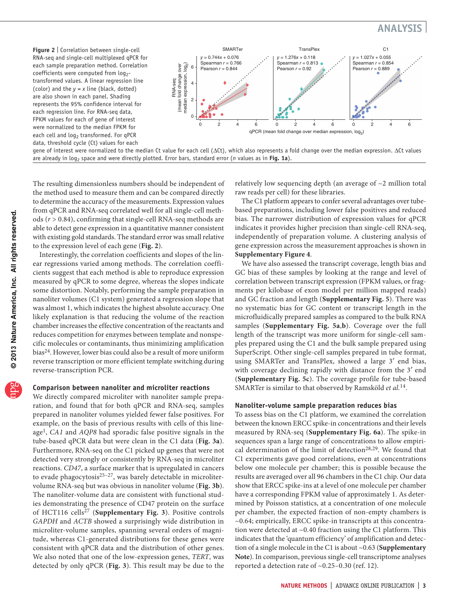<span id="page-2-0"></span>**Figure 2** | Correlation between single-cell RNA-seq and single-cell multiplexed qPCR for each sample preparation method. Correlation coefficients were computed from log<sub>2</sub>transformed values. A linear regression line (color) and the *y = x* line (black, dotted) are also shown in each panel. Shading represents the 95% confidence interval for each regression line. For RNA-seq data, FPKM values for each of gene of interest were normalized to the median FPKM for each cell and  $log<sub>2</sub>$  transformed. For qPCR data, threshold cycle (Ct) values for each



gene of interest were normalized to the median Ct value for each cell (∆Ct), which also represents a fold change over the median expression. ∆Ct values are already in log<sub>2</sub> space and were directly plotted. Error bars, standard error (*n* values as in [Fig. 1a](#page-1-1)).

The resulting dimensionless numbers should be independent of the method used to measure them and can be compared directly to determine the accuracy of the measurements. Expression values from qPCR and RNA-seq correlated well for all single-cell methods (*r* > 0.84), confirming that single-cell RNA-seq methods are able to detect gene expression in a quantitative manner consistent with existing gold standards. The standard error was small relative to the expression level of each gene (**[Fig. 2](#page-2-0)**).

Interestingly, the correlation coefficients and slopes of the linear regressions varied among methods. The correlation coefficients suggest that each method is able to reproduce expression measured by qPCR to some degree, whereas the slopes indicate some distortion. Notably, performing the sample preparation in nanoliter volumes (C1 system) generated a regression slope that was almost 1, which indicates the highest absolute accuracy. One likely explanation is that reducing the volume of the reaction chamber increases the effective concentration of the reactants and reduces competition for enzymes between template and nonspecific molecules or contaminants, thus minimizing amplification bias[24.](#page-5-10) However, lower bias could also be a result of more uniform reverse transcription or more efficient template switching during reverse-transcription PCR.

#### **Comparison between nanoliter and microliter reactions**

We directly compared microliter with nanoliter sample preparation, and found that for both qPCR and RNA-seq, samples prepared in nanoliter volumes yielded fewer false positives. For example, on the basis of previous results with cells of this lineage[1](#page-4-6), *CA1* and *AQP8* had sporadic false positive signals in the tube-based qPCR data but were clean in the C1 data (**[Fig. 3a](#page-3-0)**). Furthermore, RNA-seq on the C1 picked up genes that were not detected very strongly or consistently by RNA-seq in microliter reactions. *CD47*, a surface marker that is upregulated in cancers to evade phagocytosis $25-27$ , was barely detectable in microlitervolume RNA-seq but was obvious in nanoliter volume (**[Fig. 3b](#page-3-0)**). The nanoliter-volume data are consistent with functional studies demonstrating the presence of CD47 protein on the surface of HCT116 cells[27](#page-5-12) (**Supplementary Fig. 3**). Positive controls *GAPDH* and *ACTB* showed a surprisingly wide distribution in microliter-volume samples, spanning several orders of magnitude, whereas C1-generated distributions for these genes were consistent with qPCR data and the distribution of other genes. We also noted that one of the low-expression genes, *TERT*, was detected by only qPCR (**[Fig. 3](#page-3-0)**). This result may be due to the relatively low sequencing depth (an average of ~2 million total raw reads per cell) for these libraries.

The C1 platform appears to confer several advantages over tubebased preparations, including lower false positives and reduced bias. The narrower distribution of expression values for qPCR indicates it provides higher precision than single-cell RNA-seq, independently of preparation volume. A clustering analysis of gene expression across the measurement approaches is shown in **Supplementary Figure 4**.

We have also assessed the transcript coverage, length bias and GC bias of these samples by looking at the range and level of correlation between transcript expression (FPKM values, or fragments per kilobase of exon model per million mapped reads) and GC fraction and length (**Supplementary Fig. 5**). There was no systematic bias for GC content or transcript length in the microfluidically prepared samples as compared to the bulk RNA samples (**Supplementary Fig. 5a**,**b**). Coverage over the full length of the transcript was more uniform for single-cell samples prepared using the C1 and the bulk sample prepared using SuperScript. Other single-cell samples prepared in tube format, using SMARTer and TransPlex, showed a large 3′ end bias, with coverage declining rapidly with distance from the 3' end (**Supplementary Fig. 5c**). The coverage profile for tube-based SMARTer is similar to that observed by Ramsköld *et al.*[14.](#page-5-13)

#### **Nanoliter-volume sample preparation reduces bias**

To assess bias on the C1 platform, we examined the correlation between the known ERCC spike-in concentrations and their levels measured by RNA-seq (**Supplementary Fig. 6a**). The spike-in sequences span a large range of concentrations to allow empiri-cal determination of the limit of detection<sup>[28,](#page-5-14)29</sup>. We found that C1 experiments gave good correlations, even at concentrations below one molecule per chamber; this is possible because the results are averaged over all 96 chambers in the C1 chip. Our data show that ERCC spike-ins at a level of one molecule per chamber have a corresponding FPKM value of approximately 1. As determined by Poisson statistics, at a concentration of one molecule per chamber, the expected fraction of non-empty chambers is ~0.64; empirically, ERCC spike-in transcripts at this concentration were detected at ~0.40 fraction using the C1 platform. This indicates that the 'quantum efficiency' of amplification and detection of a single molecule in the C1 is about ~0.63 (**Supplementary Note**). In comparison, previous single-cell transcriptome analyses reported a detection rate of ~0.25–0.30 (ref. [12\)](#page-4-7).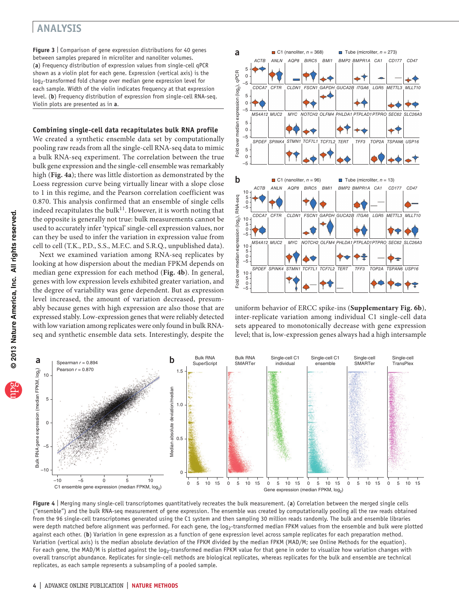<span id="page-3-0"></span>**Figure 3** | Comparison of gene expression distributions for 40 genes between samples prepared in microliter and nanoliter volumes. (**a**) Frequency distribution of expression values from single-cell qPCR shown as a violin plot for each gene. Expression (vertical axis) is the log<sub>2</sub>-transformed fold change over median gene expression level for each sample. Width of the violin indicates frequency at that expression level. (**b**) Frequency distribution of expression from single-cell RNA-seq. Violin plots are presented as in **a**.

#### **Combining single-cell data recapitulates bulk RNA profile**

We created a synthetic ensemble data set by computationally pooling raw reads from all the single-cell RNA-seq data to mimic a bulk RNA-seq experiment. The correlation between the true bulk gene expression and the single-cell ensemble was remarkably high (**[Fig. 4a](#page-3-1)**); there was little distortion as demonstrated by the Loess regression curve being virtually linear with a slope close to 1 in this regime, and the Pearson correlation coefficient was 0.870. This analysis confirmed that an ensemble of single cells indeed recapitulates the bulk $^{11}$ . However, it is worth noting that the opposite is generally not true: bulk measurements cannot be used to accurately infer 'typical' single-cell expression values, nor can they be used to infer the variation in expression value from cell to cell (T.K., P.D., S.S., M.F.C. and S.R.Q., unpublished data).

Next we examined variation among RNA-seq replicates by looking at how dispersion about the median FPKM depends on median gene expression for each method (**[Fig. 4b](#page-3-1)**). In general, genes with low expression levels exhibited greater variation, and the degree of variability was gene dependent. But as expression level increased, the amount of variation decreased, presumably because genes with high expression are also those that are expressed stably. Low-expression genes that were reliably detected with low variation among replicates were only found in bulk RNAseq and synthetic ensemble data sets. Interestingly, despite the



uniform behavior of ERCC spike-ins (**Supplementary Fig. 6b**), inter-replicate variation among individual C1 single-cell data sets appeared to monotonically decrease with gene expression level; that is, low-expression genes always had a high intersample



<span id="page-3-1"></span>**Figure 4** | Merging many single-cell transcriptomes quantitatively recreates the bulk measurement. (**a**) Correlation between the merged single cells ("ensemble") and the bulk RNA-seq measurement of gene expression. The ensemble was created by computationally pooling all the raw reads obtained from the 96 single-cell transcriptomes generated using the C1 system and then sampling 30 million reads randomly. The bulk and ensemble libraries were depth matched before alignment was performed. For each gene, the log<sub>2</sub>-transformed median FPKM values from the ensemble and bulk were plotted against each other. (b) Variation in gene expression as a function of gene expression level across sample replicates for each preparation method. Variation (vertical axis) is the median absolute deviation of the FPKM divided by the median FPKM (MAD/M; see Online Methods for the equation). For each gene, the MAD/M is plotted against the log<sub>2</sub>-transformed median FPKM value for that gene in order to visualize how variation changes with overall transcript abundance. Replicates for single-cell methods are biological replicates, whereas replicates for the bulk and ensemble are technical replicates, as each sample represents a subsampling of a pooled sample.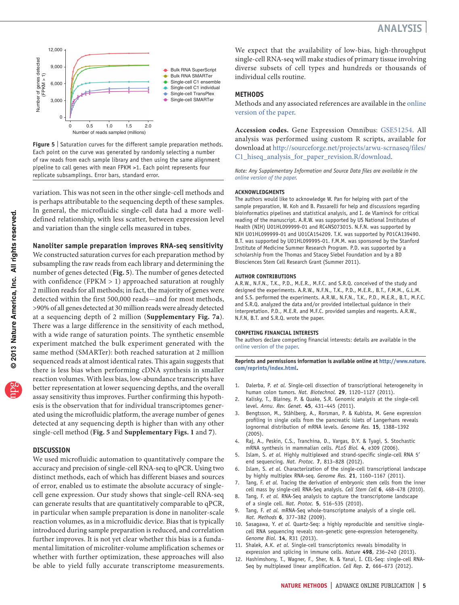

<span id="page-4-9"></span>**Figure 5** Saturation curves for the different sample preparation methods. Each point on the curve was generated by randomly selecting a number of raw reads from each sample library and then using the same alignment pipeline to call genes with mean FPKM >1. Each point represents four replicate subsamplings. Error bars, standard error.

variation. This was not seen in the other single-cell methods and is perhaps attributable to the sequencing depth of these samples. In general, the microfluidic single-cell data had a more welldefined relationship, with less scatter, between expression level and variation than the single cells measured in tubes.

#### **Nanoliter sample preparation improves RNA-seq sensitivity**

We constructed saturation curves for each preparation method by subsampling the raw reads from each library and determining the number of genes detected (**[Fig. 5](#page-4-9)**). The number of genes detected with confidence (FPKM > 1) approached saturation at roughly 2 million reads for all methods; in fact, the majority of genes were detected within the first 500,000 reads—and for most methods, >90% of all genes detected at 30 million reads were already detected at a sequencing depth of 2 million (**Supplementary Fig. 7a**). There was a large difference in the sensitivity of each method, with a wide range of saturation points. The synthetic ensemble experiment matched the bulk experiment generated with the same method (SMARTer): both reached saturation at 2 million sequenced reads at almost identical rates. This again suggests that there is less bias when performing cDNA synthesis in smaller reaction volumes. With less bias, low-abundance transcripts have better representation at lower sequencing depths, and the overall assay sensitivity thus improves. Further confirming this hypothesis is the observation that for individual transcriptomes generated using the microfluidic platform, the average number of genes detected at any sequencing depth is higher than with any other single-cell method (**[Fig. 5](#page-4-9)** and **Supplementary Figs. 1** and **7**).

#### **DISCUSSION**

We used microfluidic automation to quantitatively compare the accuracy and precision of single-cell RNA-seq to qPCR. Using two distinct methods, each of which has different biases and sources of error, enabled us to estimate the absolute accuracy of singlecell gene expression. Our study shows that single-cell RNA-seq can generate results that are quantitatively comparable to qPCR, in particular when sample preparation is done in nanoliter-scale reaction volumes, as in a microfluidic device. Bias that is typically introduced during sample preparation is reduced, and correlation further improves. It is not yet clear whether this bias is a fundamental limitation of microliter-volume amplification schemes or whether with further optimization, these approaches will also be able to yield fully accurate transcriptome measurements. We expect that the availability of low-bias, high-throughput single-cell RNA-seq will make studies of primary tissue involving diverse subsets of cell types and hundreds or thousands of individual cells routine.

#### **Methods**

Methods and any associated references are available in the [online](http://www.nature.com/doifinder/10.1038/nmeth.2694) [version](http://www.nature.com/doifinder/10.1038/nmeth.2694) of the paper.

**Accession codes.** Gene Expression Omnibus: [GSE51254.](http://www.ncbi.nlm.nih.gov/geo/query/acc.cgi?acc=GSE51254) All analysis was performed using custom R scripts, available for download at [http://sourceforge.net/projects/arwu-scrnaseq/files/](http://sourceforge.net/projects/arwu-scrnaseq/files/C1_hiseq_analysis_for_paper_revision.R/download) [C1\\_hiseq\\_analysis\\_for\\_paper\\_revision.R/download.](http://sourceforge.net/projects/arwu-scrnaseq/files/C1_hiseq_analysis_for_paper_revision.R/download)

*Note: Any Supplementary Information and Source Data files are available in the online [version](http://www.nature.com/doifinder/10.1038/nmeth.2694) of the paper.*

#### **Acknowledgments**

The authors would like to acknowledge W. Pan for helping with part of the sample preparation, W. Koh and B. Passarelli for help and discussions regarding bioinformatics pipelines and statistical analysis, and I. de Vlaminck for critical reading of the manuscript. A.R.W. was supported by US National Institutes of Health (NIH) U01HL099999-01 and RC4NS073015. N.F.N. was supported by NIH U01HL099999-01 and U01CA154209. T.K. was supported by P01CA139490. B.T. was supported by U01HL099995-01. F.M.M. was sponsored by the Stanford Institute of Medicine Summer Research Program. P.D. was supported by a scholarship from the Thomas and Stacey Siebel Foundation and by a BD Biosciences Stem Cell Research Grant (Summer 2011).

#### **AUTHOR CONTRIBUTIONS**

A.R.W., N.F.N., T.K., P.D., M.E.R., M.F.C. and S.R.Q. conceived of the study and designed the experiments. A.R.W., N.F.N., T.K., P.D., M.E.R., B.T., F.M.M., G.L.M. and S.S. performed the experiments. A.R.W., N.F.N., T.K., P.D., M.E.R., B.T., M.F.C. and S.R.Q. analyzed the data and/or provided intellectual guidance in their interpretation. P.D., M.E.R. and M.F.C. provided samples and reagents. A.R.W., N.F.N, B.T. and S.R.Q. wrote the paper.

#### **COMPETING FINANCIAL INTERESTS**

The authors declare competing financial interests: details are available in the online [version](http://www.nature.com/doifinder/10.1038/nmeth.2694) of the paper.

**Reprints and permissions information is available online at [http://www.nature.](http://www.nature.com/reprints/index.html) [com/reprints/index.html.](http://www.nature.com/reprints/index.html)**

- <span id="page-4-6"></span><span id="page-4-0"></span>1. Dalerba, P. *et al.* Single-cell dissection of transcriptional heterogeneity in human colon tumors. *Nat. Biotechnol.* **29**, 1120–1127 (2011).
- <span id="page-4-1"></span>2. Kalisky, T., Blainey, P. & Quake, S.R. Genomic analysis at the single-cell level. *Annu. Rev. Genet.* **45**, 431–445 (2011).
- <span id="page-4-2"></span>3. Bengtsson, M., Ståhlberg, A., Rorsman, P. & Kubista, M. Gene expression profiling in single cells from the pancreatic islets of Langerhans reveals lognormal distribution of mRNA levels. *Genome Res.* **15**, 1388–1392 (2005).
- <span id="page-4-3"></span>4. Raj, A., Peskin, C.S., Tranchina, D., Vargas, D.Y. & Tyagi, S. Stochastic mRNA synthesis in mammalian cells. *PLoS Biol.* **4**, e309 (2006).
- <span id="page-4-4"></span>5. Islam, S. *et al.* Highly multiplexed and strand-specific single-cell RNA 5′ end sequencing. *Nat. Protoc.* **7**, 813–828 (2012).
- 6. Islam, S. *et al.* Characterization of the single-cell transcriptional landscape by highly multiplex RNA-seq. *Genome Res.* **21**, 1160–1167 (2011).
- 7. Tang, F. *et al.* Tracing the derivation of embryonic stem cells from the inner cell mass by single-cell RNA-Seq analysis. *Cell Stem Cell* **6**, 468–478 (2010).
- 8. Tang, F. *et al.* RNA-Seq analysis to capture the transcriptome landscape of a single cell. *Nat. Protoc.* **5**, 516–535 (2010).
- 9. Tang, F. *et al.* mRNA-Seq whole-transcriptome analysis of a single cell. *Nat. Methods* **6**, 377–382 (2009).
- <span id="page-4-5"></span>10. Sasagawa, Y. *et al.* Quartz-Seq: a highly reproducible and sensitive singlecell RNA sequencing reveals non-genetic gene-expression heterogeneity. *Genome Biol.* **14**, R31 (2013).
- <span id="page-4-8"></span>11. Shalek, A.K. *et al.* Single-cell transcriptomics reveals bimodality in expression and splicing in immune cells. *Nature* **498**, 236–240 (2013).
- <span id="page-4-7"></span>12. Hashimshony, T., Wagner, F., Sher, N. & Yanai, I. CEL-Seq: single-cell RNA-Seq by multiplexed linear amplification. *Cell Rep.* **2**, 666–673 (2012).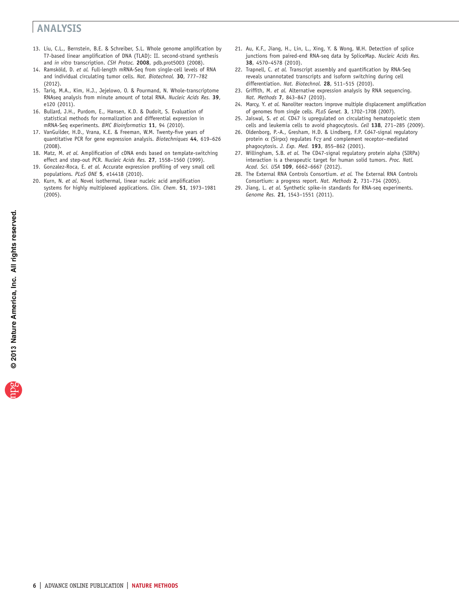- 13. Liu, C.L., Bernstein, B.E. & Schreiber, S.L. Whole genome amplification by T7-based linear amplification of DNA (TLAD): II. second-strand synthesis and *in vitro* transcription. *CSH Protoc.* **2008**, pdb.prot5003 (2008).
- <span id="page-5-13"></span>14. Ramsköld, D. *et al.* Full-length mRNA-Seq from single-cell levels of RNA and individual circulating tumor cells. *Nat. Biotechnol.* **30**, 777–782 (2012).
- <span id="page-5-0"></span>15. Tariq, M.A., Kim, H.J., Jejelowo, O. & Pourmand, N. Whole-transcriptome RNAseq analysis from minute amount of total RNA. *Nucleic Acids Res.* **39**, e120 (2011).
- <span id="page-5-6"></span><span id="page-5-1"></span>16. Bullard, J.H., Purdom, E., Hansen, K.D. & Dudoit, S. Evaluation of statistical methods for normalization and differential expression in mRNA-Seq experiments. *BMC Bioinformatics* **11**, 94 (2010).
- <span id="page-5-7"></span><span id="page-5-2"></span>17. VanGuilder, H.D., Vrana, K.E. & Freeman, W.M. Twenty-five years of quantitative PCR for gene expression analysis. *Biotechniques* **44**, 619–626 (2008).
- <span id="page-5-3"></span>18. Matz, M. *et al.* Amplification of cDNA ends based on template-switching effect and step-out PCR. *Nucleic Acids Res.* **27**, 1558–1560 (1999).
- <span id="page-5-4"></span>19. Gonzalez-Roca, E. *et al.* Accurate expression profiling of very small cell populations. *PLoS ONE* **5**, e14418 (2010).
- <span id="page-5-5"></span>20. Kurn, N. *et al.* Novel isothermal, linear nucleic acid amplification systems for highly multiplexed applications. *Clin. Chem.* **51**, 1973–1981 (2005).
- <span id="page-5-8"></span>21. Au, K.F., Jiang, H., Lin, L., Xing, Y. & Wong, W.H. Detection of splice junctions from paired-end RNA-seq data by SpliceMap. *Nucleic Acids Res.* **38**, 4570–4578 (2010).
- 22. Trapnell, C. *et al.* Transcript assembly and quantification by RNA-Seq reveals unannotated transcripts and isoform switching during cell differentiation. *Nat. Biotechnol.* **28**, 511–515 (2010).
- <span id="page-5-9"></span>23. Griffith, M. *et al.* Alternative expression analysis by RNA sequencing. *Nat. Methods* **7**, 843–847 (2010).
- <span id="page-5-10"></span>24. Marcy, Y. *et al.* Nanoliter reactors improve multiple displacement amplification of genomes from single cells. *PLoS Genet.* **3**, 1702–1708 (2007).
- <span id="page-5-11"></span>25. Jaiswal, S. *et al.* CD47 is upregulated on circulating hematopoietic stem cells and leukemia cells to avoid phagocytosis. *Cell* **138**, 271–285 (2009).
- 26. Oldenborg, P.-A., Gresham, H.D. & Lindberg, F.P. Cd47-signal regulatory protein  $\alpha$  (Sirpα) regulates Fcγ and complement receptor-mediated phagocytosis. *J. Exp. Med.* **193**, 855–862 (2001).
- <span id="page-5-12"></span>27. Willingham, S.B. *et al.* The CD47-signal regulatory protein alpha (SIRPa) interaction is a therapeutic target for human solid tumors. *Proc. Natl. Acad. Sci. USA* **109**, 6662–6667 (2012).
- <span id="page-5-14"></span>28. The External RNA Controls Consortium. *et al.* The External RNA Controls Consortium: a progress report. *Nat. Methods* **2**, 731–734 (2005).
- <span id="page-5-15"></span>29. Jiang, L. *et al.* Synthetic spike-in standards for RNA-seq experiments. *Genome Res.* **21**, 1543–1551 (2011).

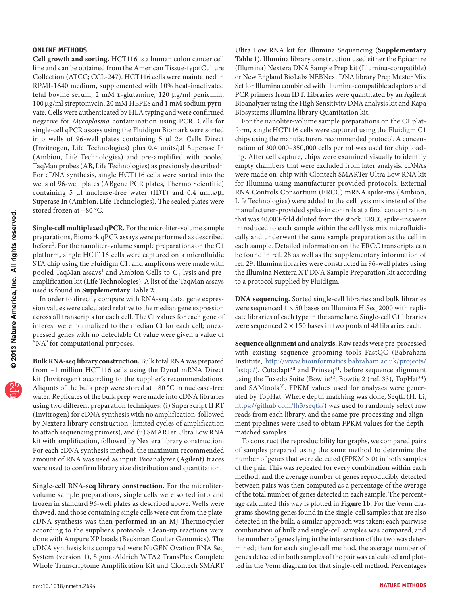#### **ONLINE METHODS**

**Cell growth and sorting.** HCT116 is a human colon cancer cell line and can be obtained from the American Tissue-type Culture Collection (ATCC; CCL-247). HCT116 cells were maintained in RPMI-1640 medium, supplemented with 10% heat-inactivated fetal bovine serum, 2 mM l-glutamine, 120 µg/ml penicillin, 100 µg/ml streptomycin, 20 mM HEPES and 1 mM sodium pyruvate. Cells were authenticated by HLA typing and were confirmed negative for *Mycoplasma* contamination using PCR. Cells for single-cell qPCR assays using the Fluidigm Biomark were sorted into wells of 96-well plates containing 5 µl 2× Cells Direct (Invitrogen, Life Technologies) plus 0.4 units/µl Superase In (Ambion, Life Technologies) and pre-amplified with pooled TaqMan probes (AB, Life Technologies) as previously described<sup>1</sup>. For cDNA synthesis, single HCT116 cells were sorted into the wells of 96-well plates (ABgene PCR plates, Thermo Scientific) containing 5 µl nuclease-free water (IDT) and 0.4 units/µl Superase In (Ambion, Life Technologies). The sealed plates were stored frozen at −80 °C.

**Single-cell multiplexed qPCR.** For the microliter-volume sample preparations, Biomark qPCR assays were performed as described before<sup>[1](#page-4-6)</sup>. For the nanoliter-volume sample preparations on the C1 platform, single HCT116 cells were captured on a microfluidic STA chip using the Fluidigm C1, and amplicons were made with pooled TaqMan assays<sup>[1](#page-4-6)</sup> and Ambion Cells-to- $C_T$  lysis and preamplification kit (Life Technologies). A list of the TaqMan assays used is found in **Supplementary Table 2**.

In order to directly compare with RNA-seq data, gene expression values were calculated relative to the median gene expression across all transcripts for each cell. The Ct values for each gene of interest were normalized to the median Ct for each cell; unexpressed genes with no detectable Ct value were given a value of "NA" for computational purposes.

**Bulk RNA-seq library construction.** Bulk total RNA was prepared from ~1 million HCT116 cells using the Dynal mRNA Direct kit (Invitrogen) according to the supplier's recommendations. Aliquots of the bulk prep were stored at −80 °C in nuclease-free water. Replicates of the bulk prep were made into cDNA libraries using two different preparation techniques: (i) SuperScript II RT (Invitrogen) for cDNA synthesis with no amplification, followed by Nextera library construction (limited cycles of amplification to attach sequencing primers), and (ii) SMARTer Ultra Low RNA kit with amplification, followed by Nextera library construction. For each cDNA synthesis method, the maximum recommended amount of RNA was used as input. Bioanalyzer (Agilent) traces were used to confirm library size distribution and quantitation.

**Single-cell RNA-seq library construction.** For the microlitervolume sample preparations, single cells were sorted into and frozen in standard 96-well plates as described above. Wells were thawed, and those containing single cells were cut from the plate. cDNA synthesis was then performed in an MJ Thermocycler according to the supplier's protocols. Clean-up reactions were done with Ampure XP beads (Beckman Coulter Genomics). The cDNA synthesis kits compared were NuGEN Ovation RNA Seq System (version 1), Sigma-Aldrich WTA2 TransPlex Complete Whole Transcriptome Amplification Kit and Clontech SMART Ultra Low RNA kit for Illumina Sequencing (**Supplementary Table 1**). Illumina library construction used either the Epicentre (Illumina) Nextera DNA Sample Prep kit (Illumina-compatible) or New England BioLabs NEBNext DNA library Prep Master Mix Set for Illumina combined with Illumina-compatible adaptors and PCR primers from IDT. Libraries were quantitated by an Agilent Bioanalyzer using the High Sensitivity DNA analysis kit and Kapa Biosystems Illumina library Quantitation kit.

For the nanoliter-volume sample preparations on the C1 platform, single HCT116 cells were captured using the Fluidigm C1 chips using the manufacturers recommended protocol. A concentration of 300,000–350,000 cells per ml was used for chip loading. After cell capture, chips were examined visually to identify empty chambers that were excluded from later analysis. cDNAs were made on-chip with Clontech SMARTer Ultra Low RNA kit for Illumina using manufacturer-provided protocols. External RNA Controls Consortium (ERCC) mRNA spike-ins (Ambion, Life Technologies) were added to the cell lysis mix instead of the manufacturer-provided spike-in controls at a final concentration that was 40,000-fold diluted from the stock. ERCC spike-ins were introduced to each sample within the cell lysis mix microfluidically and underwent the same sample preparation as the cell in each sample. Detailed information on the ERCC transcripts can be found in ref. [28](#page-5-14) as well as the supplementary information of ref. [29.](#page-5-15) Illumina libraries were constructed in 96-well plates using the Illumina Nextera XT DNA Sample Preparation kit according to a protocol supplied by Fluidigm.

**DNA sequencing.** Sorted single-cell libraries and bulk libraries were sequenced  $1 \times 50$  bases on Illumina HiSeq 2000 with replicate libraries of each type in the same lane. Single-cell C1 libraries were sequenced  $2 \times 150$  bases in two pools of 48 libraries each.

**Sequence alignment and analysis.** Raw reads were pre-processed with existing sequence grooming tools FastQC (Babraham Institute, [http://www.bioinformatics.babraham.ac.uk/projects/](http://www.bioinformatics.babraham.ac.uk/projects/fastqc/) [fastqc/](http://www.bioinformatics.babraham.ac.uk/projects/fastqc/)), Cutadapt<sup>[30](#page-7-0)</sup> and Prinseq<sup>[31](#page-7-1)</sup>, before sequence alignment using the Tuxedo Suite (Bowtie<sup>32</sup>, Bowtie 2 (ref. [33\)](#page-7-3), TopHat<sup>34</sup>) and SAMtools<sup>[35](#page-7-5)</sup>. FPKM values used for analyses were generated by TopHat. Where depth matching was done, Seqtk (H. Li, [https://github.com/lh3/seqtk/\)](https://github.com/lh3/seqtk/) was used to randomly select raw reads from each library, and the same pre-processing and alignment pipelines were used to obtain FPKM values for the depthmatched samples.

To construct the reproducibility bar graphs, we compared pairs of samples prepared using the same method to determine the number of genes that were detected (FPKM > 0) in both samples of the pair. This was repeated for every combination within each method, and the average number of genes reproducibly detected between pairs was then computed as a percentage of the average of the total number of genes detected in each sample. The percentage calculated this way is plotted in **[Figure 1b](#page-1-1)**. For the Venn diagrams showing genes found in the single-cell samples that are also detected in the bulk, a similar approach was taken: each pairwise combination of bulk and single-cell samples was compared, and the number of genes lying in the intersection of the two was determined; then for each single-cell method, the average number of genes detected in both samples of the pair was calculated and plotted in the Venn diagram for that single-cell method. Percentages